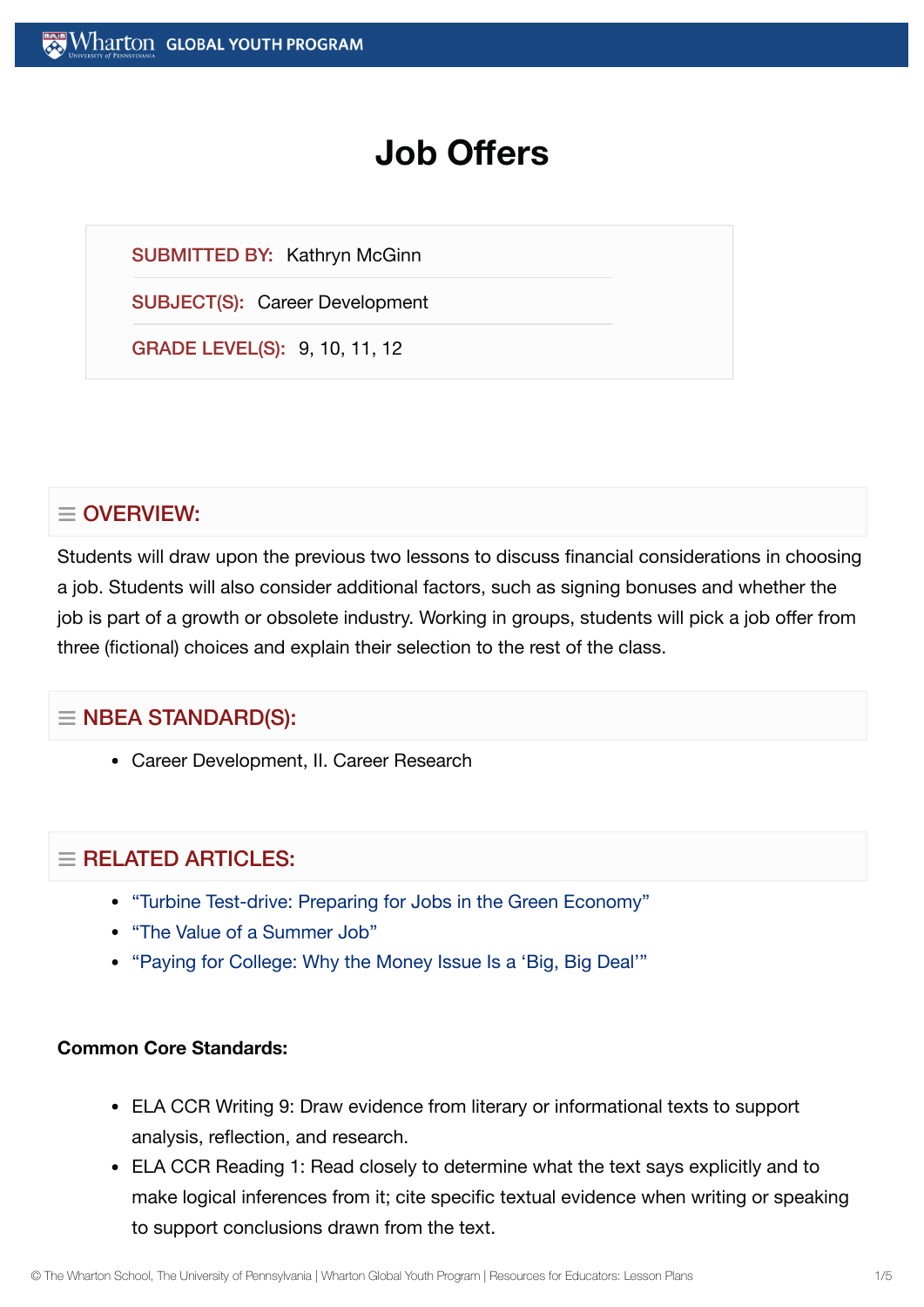# **Job Offers**

SUBMITTED BY: Kathryn McGinn

SUBJECT(S): Career Development

GRADE LEVEL(S): 9, 10, 11, 12

# $\equiv$  OVERVIEW:

Students will draw upon the previous two lessons to discuss financial considerations in choosing a job. Students will also consider additional factors, such as signing bonuses and whether the job is part of a growth or obsolete industry. Working in groups, students will pick a job offer from three (fictional) choices and explain their selection to the rest of the class.

# $\equiv$  NBEA STANDARD(S):

Career Development, II. Career Research

# $=$  RELATED ARTICLES:

- "Turbine [Test-drive:](https://globalyouth.wharton.upenn.edu/articles/turbine-test-drive-teens-prepare-for-jobs-in-the-green-economy/) Preparing for Jobs in the Green Economy"
- "The Value of a [Summer](https://globalyouth.wharton.upenn.edu/articles/value-summer-job/) Job"
- "Paying for College: [Why the](https://globalyouth.wharton.upenn.edu/articles/paying-for-college-merit-aid-student-loans-and-graduating-on-time/) Money Issue Is a 'Big, Big Deal'"

#### **Common Core Standards:**

- ELA CCR Writing 9: Draw evidence from literary or informational texts to support analysis, reflection, and research.
- ELA CCR Reading 1: Read closely to determine what the text says explicitly and to make logical inferences from it; cite specific textual evidence when writing or speaking to support conclusions drawn from the text.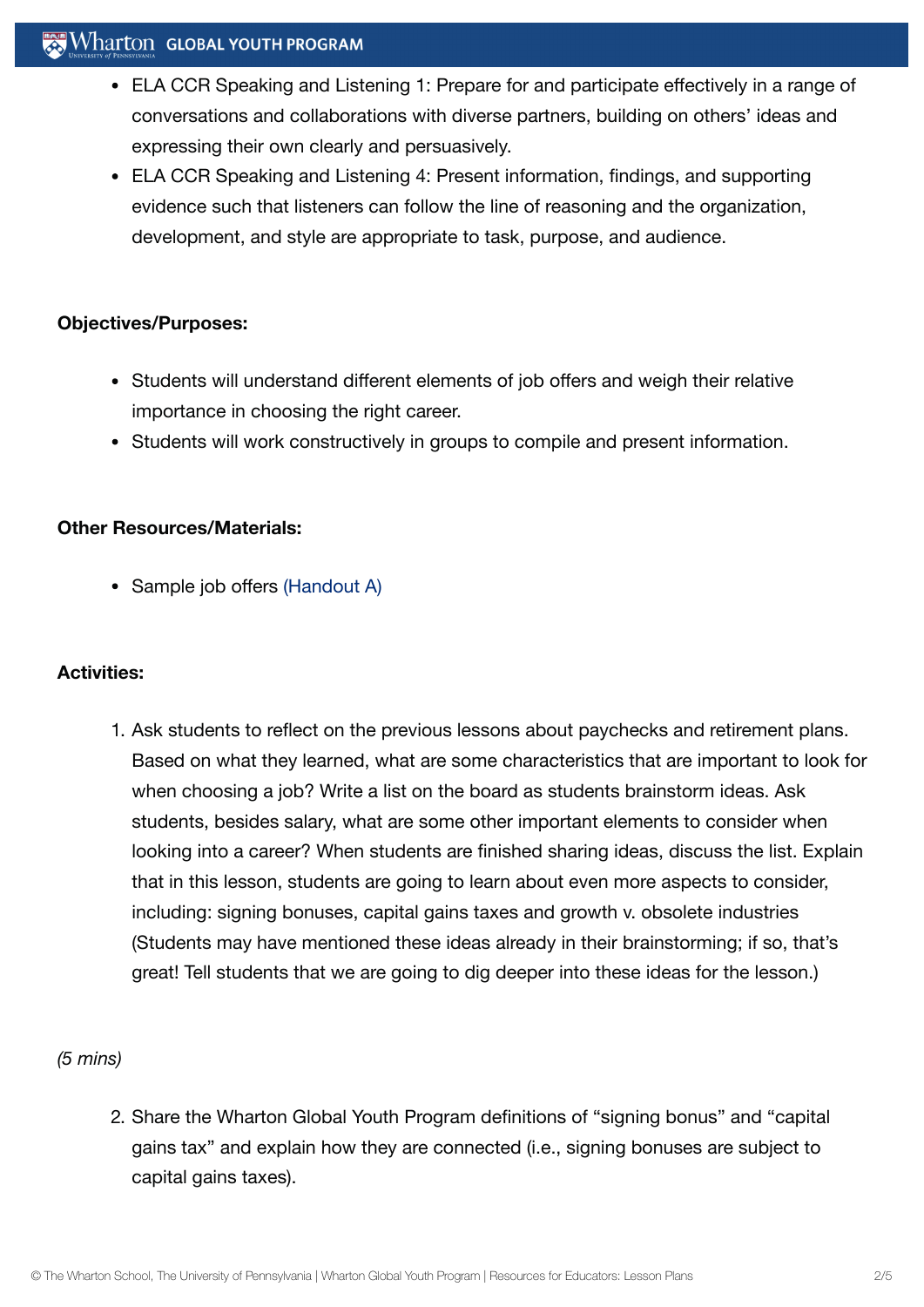# $\mathbf{W}$  Wharton Global youth program

- ELA CCR Speaking and Listening 1: Prepare for and participate effectively in a range of conversations and collaborations with diverse partners, building on others' ideas and expressing their own clearly and persuasively.
- ELA CCR Speaking and Listening 4: Present information, findings, and supporting evidence such that listeners can follow the line of reasoning and the organization, development, and style are appropriate to task, purpose, and audience.

#### **Objectives/Purposes:**

- Students will understand different elements of job offers and weigh their relative importance in choosing the right career.
- Students will work constructively in groups to compile and present information.

#### **Other Resources/Materials:**

• Sample job offers [\(Handout](https://globalyouth.wharton.upenn.edu/wp-content/uploads/2012/01/Career-Development-26_handoutA.pdf) A)

## **Activities:**

1. Ask students to reflect on the previous lessons about paychecks and retirement plans. Based on what they learned, what are some characteristics that are important to look for when choosing a job? Write a list on the board as students brainstorm ideas. Ask students, besides salary, what are some other important elements to consider when looking into a career? When students are finished sharing ideas, discuss the list. Explain that in this lesson, students are going to learn about even more aspects to consider, including: signing bonuses, capital gains taxes and growth v. obsolete industries (Students may have mentioned these ideas already in their brainstorming; if so, that's great! Tell students that we are going to dig deeper into these ideas for the lesson.)

## *(5 mins)*

2. Share the Wharton Global Youth Program definitions of "signing bonus" and "capital gains tax" and explain how they are connected (i.e., signing bonuses are subject to capital gains taxes).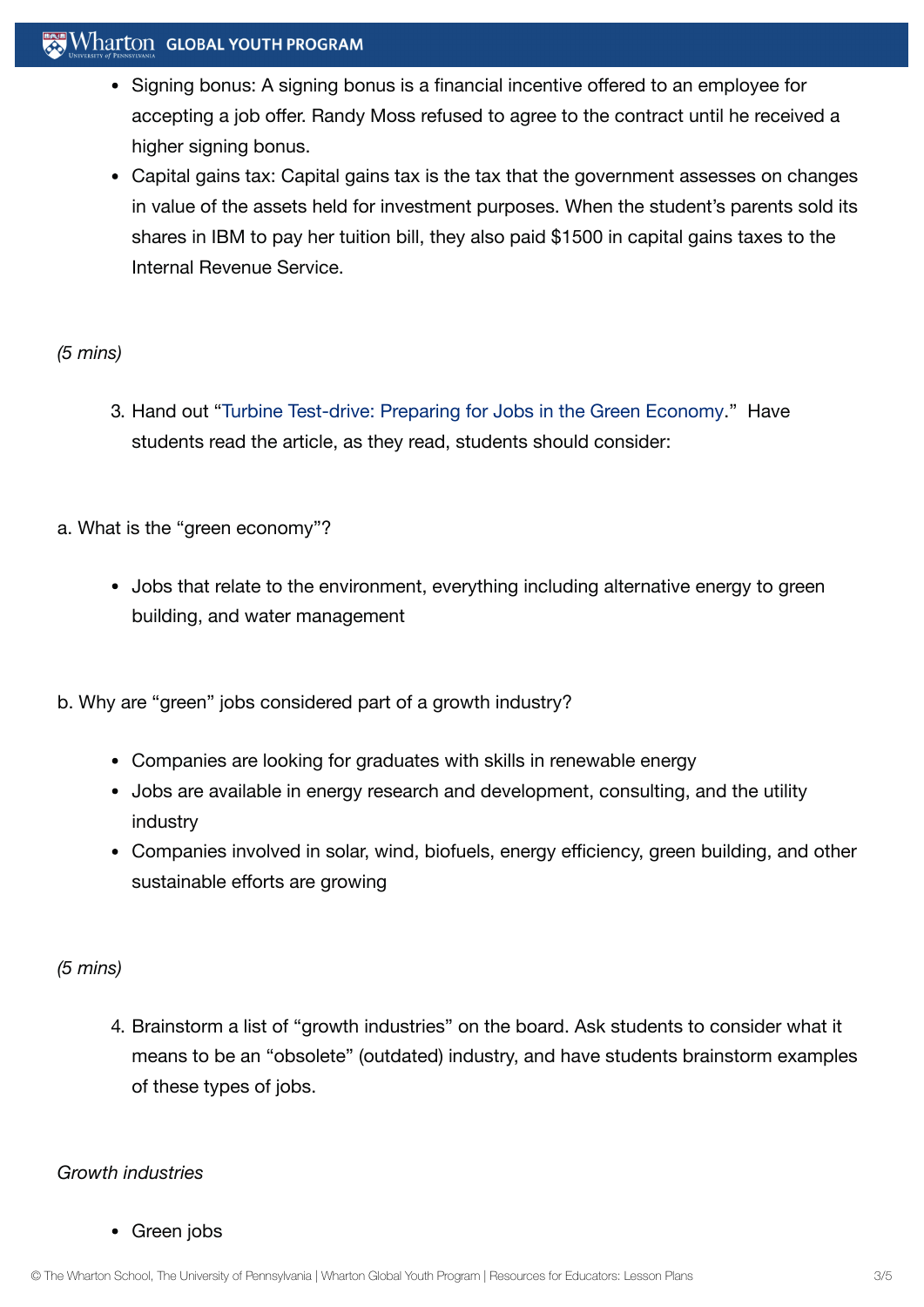# $\mathbb{R}$  Wharton Global youth program

- Signing bonus: A signing bonus is a financial incentive offered to an employee for accepting a job offer. Randy Moss refused to agree to the contract until he received a higher signing bonus.
- Capital gains tax: Capital gains tax is the tax that the government assesses on changes in value of the assets held for investment purposes. When the student's parents sold its shares in IBM to pay her tuition bill, they also paid \$1500 in capital gains taxes to the Internal Revenue Service.

#### *(5 mins)*

- 3. Hand out "Turbine [Test-drive:](https://globalyouth.wharton.upenn.edu/articles/turbine-test-drive-teens-prepare-for-jobs-in-the-green-economy/) Preparing for Jobs in the Green Economy." Have students read the article, as they read, students should consider:
- a. What is the "green economy"?
	- Jobs that relate to the environment, everything including alternative energy to green building, and water management
- b. Why are "green" jobs considered part of a growth industry?
	- Companies are looking for graduates with skills in renewable energy
	- Jobs are available in energy research and development, consulting, and the utility industry
	- Companies involved in solar, wind, biofuels, energy efficiency, green building, and other sustainable efforts are growing

#### *(5 mins)*

4. Brainstorm a list of "growth industries" on the board. Ask students to consider what it means to be an "obsolete" (outdated) industry, and have students brainstorm examples of these types of jobs.

#### *Growth industries*

#### • Green jobs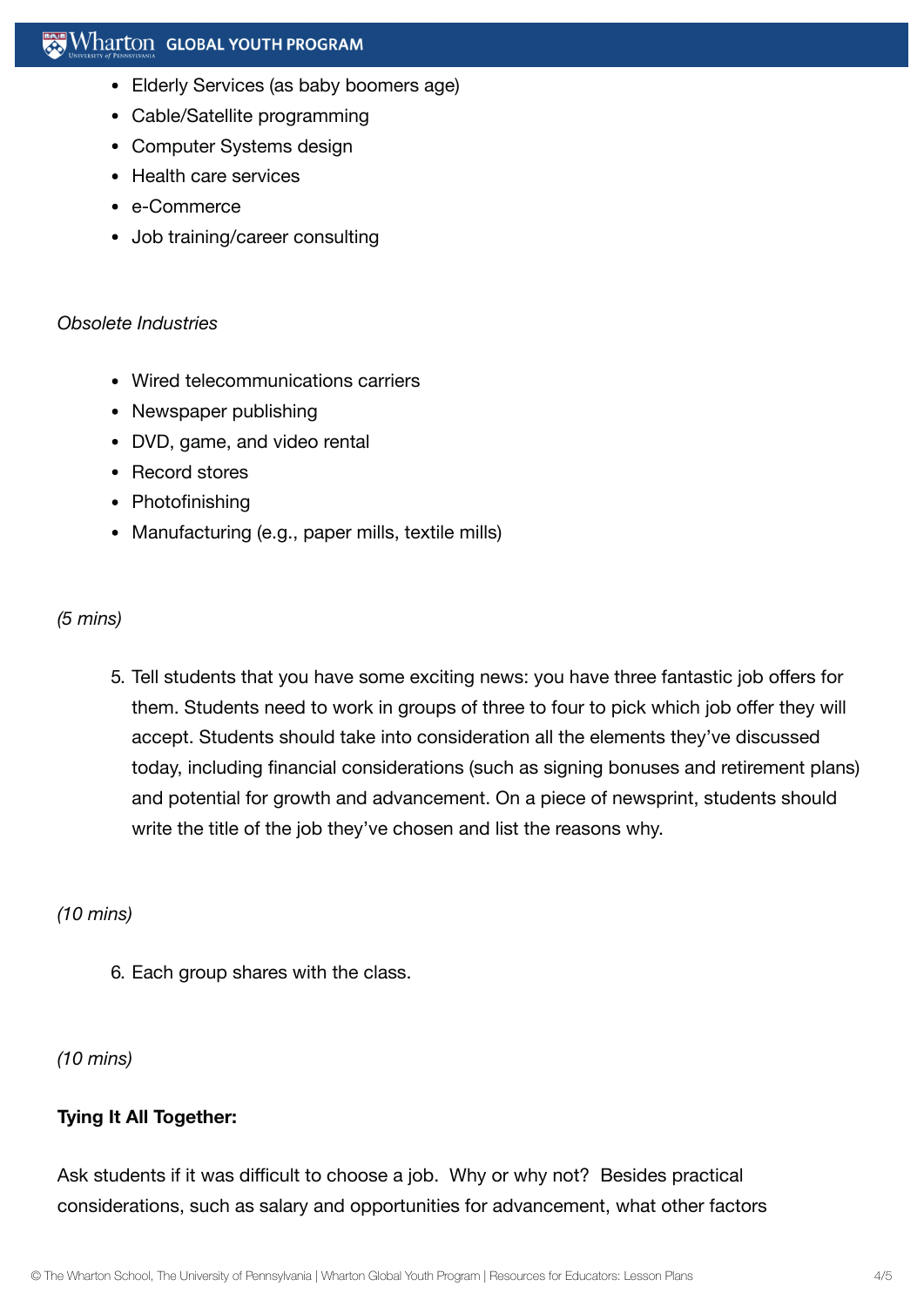- Elderly Services (as baby boomers age)
- Cable/Satellite programming
- Computer Systems design
- Health care services
- e-Commerce
- Job training/career consulting

#### *Obsolete Industries*

- Wired telecommunications carriers
- Newspaper publishing
- DVD, game, and video rental
- Record stores
- Photofinishing
- Manufacturing (e.g., paper mills, textile mills)

#### *(5 mins)*

5. Tell students that you have some exciting news: you have three fantastic job offers for them. Students need to work in groups of three to four to pick which job offer they will accept. Students should take into consideration all the elements they've discussed today, including financial considerations (such as signing bonuses and retirement plans) and potential for growth and advancement. On a piece of newsprint, students should write the title of the job they've chosen and list the reasons why.

## *(10 mins)*

6. Each group shares with the class.

## *(10 mins)*

## **Tying It All Together:**

Ask students if it was difficult to choose a job. Why or why not? Besides practical considerations, such as salary and opportunities for advancement, what other factors